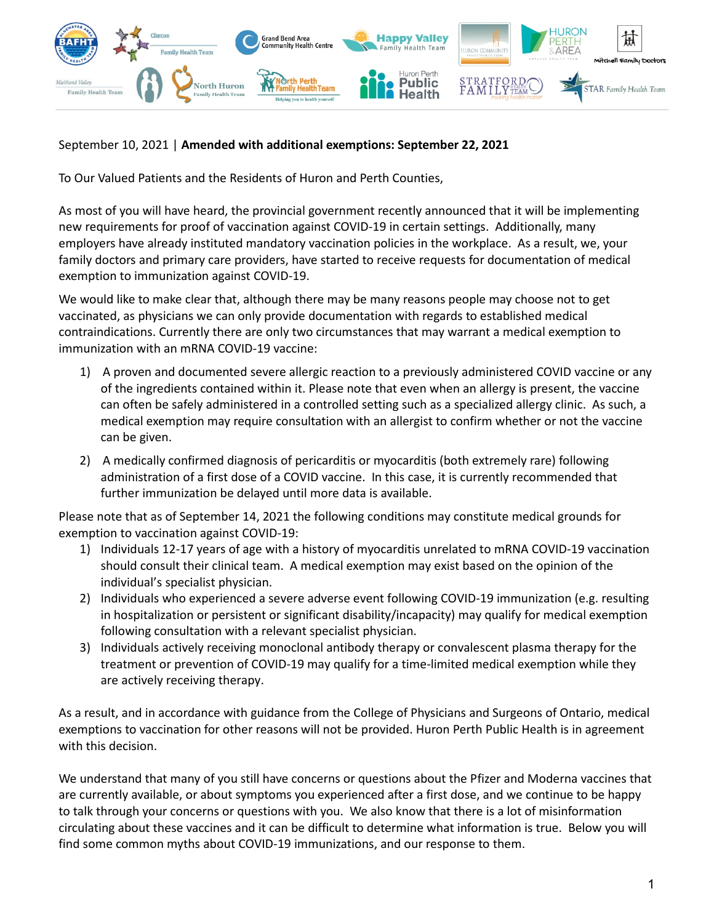

# September 10, 2021 | **Amended with additional exemptions: September 22, 2021**

To Our Valued Patients and the Residents of Huron and Perth Counties,

As most of you will have heard, the provincial government recently announced that it will be implementing new requirements for proof of vaccination against COVID-19 in certain settings. Additionally, many employers have already instituted mandatory vaccination policies in the workplace. As a result, we, your family doctors and primary care providers, have started to receive requests for documentation of medical exemption to immunization against COVID-19.

We would like to make clear that, although there may be many reasons people may choose not to get vaccinated, as physicians we can only provide documentation with regards to established medical contraindications. Currently there are only two circumstances that may warrant a medical exemption to immunization with an mRNA COVID-19 vaccine:

- 1) A proven and documented severe allergic reaction to a previously administered COVID vaccine or any of the ingredients contained within it. Please note that even when an allergy is present, the vaccine can often be safely administered in a controlled setting such as a specialized allergy clinic. As such, a medical exemption may require consultation with an allergist to confirm whether or not the vaccine can be given.
- 2) A medically confirmed diagnosis of pericarditis or myocarditis (both extremely rare) following administration of a first dose of a COVID vaccine. In this case, it is currently recommended that further immunization be delayed until more data is available.

Please note that as of September 14, 2021 the following conditions may constitute medical grounds for exemption to vaccination against COVID-19:

- 1) Individuals 12-17 years of age with a history of myocarditis unrelated to mRNA COVID-19 vaccination should consult their clinical team. A medical exemption may exist based on the opinion of the individual's specialist physician.
- 2) Individuals who experienced a severe adverse event following COVID-19 immunization (e.g. resulting in hospitalization or persistent or significant disability/incapacity) may qualify for medical exemption following consultation with a relevant specialist physician.
- 3) Individuals actively receiving monoclonal antibody therapy or convalescent plasma therapy for the treatment or prevention of COVID-19 may qualify for a time-limited medical exemption while they are actively receiving therapy.

As a result, and in accordance with guidance from the College of Physicians and Surgeons of Ontario, medical exemptions to vaccination for other reasons will not be provided. Huron Perth Public Health is in agreement with this decision.

We understand that many of you still have concerns or questions about the Pfizer and Moderna vaccines that are currently available, or about symptoms you experienced after a first dose, and we continue to be happy to talk through your concerns or questions with you. We also know that there is a lot of misinformation circulating about these vaccines and it can be difficult to determine what information is true. Below you will find some common myths about COVID-19 immunizations, and our response to them.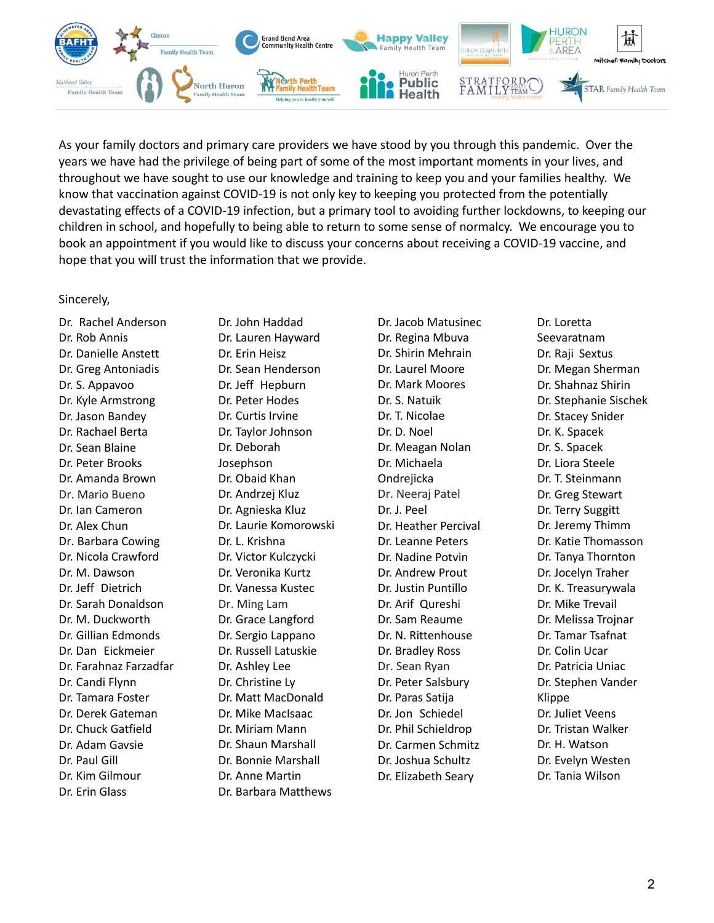

As your family doctors and primary care providers we have stood by you through this pandemic. Over the years we have had the privilege of being part of some of the most important moments in your lives, and throughout we have sought to use our knowledge and training to keep you and your families healthy. We know that vaccination against COVID-19 is not only key to keeping you protected from the potentially devastating effects of a COVID-19 infection, but a primary tool to avoiding further lockdowns, to keeping our children in school, and hopefully to being able to return to some sense of normalcy. We encourage you to book an appointment if you would like to discuss your concerns about receiving a COVID-19 vaccine, and hope that you will trust the information that we provide.

#### Sincerely,

Dr. Rachel Anderson Dr. Rob Annis Dr. Danielle Anstett Dr. Greg Antoniadis Dr. S. Appavoo Dr. Kyle Armstrong Dr. Jason Bandey Dr. Rachael Berta Dr. Sean Blaine Dr. Peter Brooks Dr. Amanda Brown Dr. Mario Bueno Dr. Ian Cameron Dr. Alex Chun Dr. Barbara Cowing Dr. Nicola Crawford Dr. M. Dawson Dr. Jeff Dietrich Dr. Sarah Donaldson Dr. M. Duckworth Dr. Gillian Edmonds Dr. Dan Eickmeier Dr. Farahnaz Farzadfar Dr. Candi Flynn Dr. Tamara Foster Dr. Derek Gateman Dr. Chuck Gatfield Dr. Adam Gavsie Dr. Paul Gill Dr. Kim Gilmour Dr. Erin Glass

Dr. John Haddad Dr. Lauren Hayward Dr. Erin Heisz Dr. Sean Henderson Dr. Jeff Hepburn Dr. Peter Hodes Dr. Curtis Irvine Dr. Taylor Johnson Dr. Deborah Josephson Dr. Obaid Khan Dr. Andrzej Kluz Dr. Agnieska Kluz Dr. Laurie Komorowski Dr. L. Krishna Dr. Victor Kulczycki Dr. Veronika Kurtz Dr. Vanessa Kustec Dr. Ming Lam Dr. Grace Langford Dr. Sergio Lappano Dr. Russell Latuskie Dr. Ashley Lee Dr. Christine Ly Dr. Matt MacDonald Dr. Mike MacIsaac Dr. Miriam Mann Dr. Shaun Marshall Dr. Bonnie Marshall Dr. Anne Martin Dr. Barbara Matthews

Dr. Jacob Matusinec Dr. Regina Mbuva Dr. Shirin Mehrain Dr. Laurel Moore Dr. Mark Moores Dr. S. Natuik Dr. T. Nicolae Dr. D. Noel Dr. Meagan Nolan Dr. Michaela **Ondrejicka** Dr. Neeraj Patel Dr. J. Peel Dr. Heather Percival Dr. Leanne Peters Dr. Nadine Potvin Dr. Andrew Prout Dr. Justin Puntillo Dr. Arif Qureshi Dr. Sam Reaume Dr. N. Rittenhouse Dr. Bradley Ross Dr. Sean Ryan Dr. Peter Salsbury Dr. Paras Satija Dr. Jon Schiedel Dr. Phil Schieldrop Dr. Carmen Schmitz Dr. Joshua Schultz Dr. Elizabeth Seary

Dr. Loretta Seevaratnam Dr. Raji Sextus Dr. Megan Sherman Dr. Shahnaz Shirin Dr. Stephanie Sischek Dr. Stacey Snider Dr. K. Spacek Dr. S. Spacek Dr. Liora Steele Dr. T. Steinmann Dr. Greg Stewart Dr. Terry Suggitt Dr. Jeremy Thimm Dr. Katie Thomasson Dr. Tanya Thornton Dr. Jocelyn Traher Dr. K. Treasurywala Dr. Mike Trevail Dr. Melissa Trojnar Dr. Tamar Tsafnat Dr. Colin Ucar Dr. Patricia Uniac Dr. Stephen Vander Klippe Dr. Juliet Veens Dr. Tristan Walker Dr. H. Watson Dr. Evelyn Westen Dr. Tania Wilson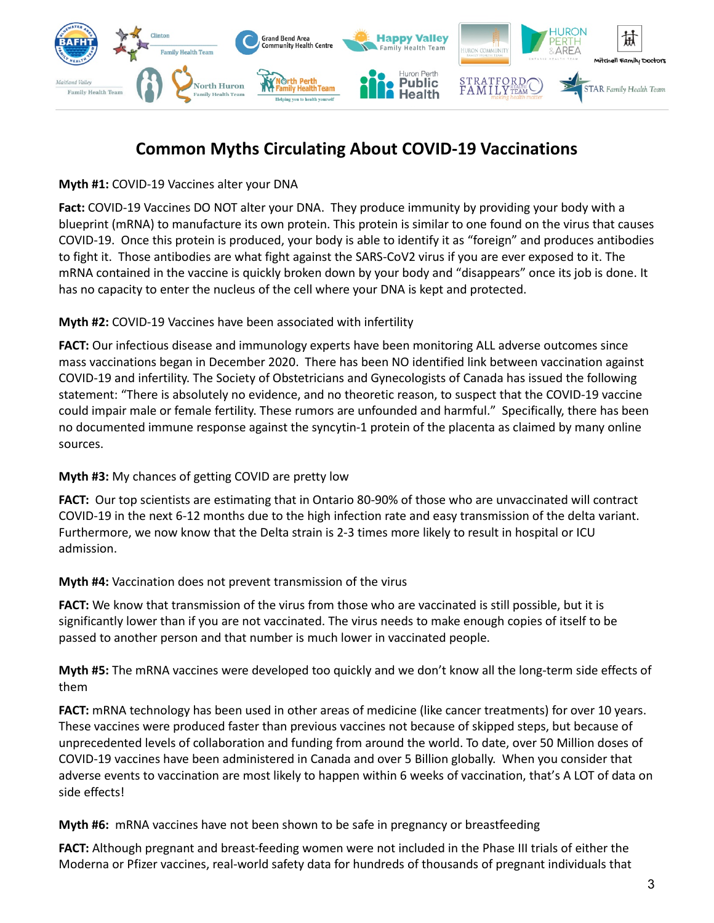

# **Common Myths Circulating About COVID-19 Vaccinations**

**Myth #1:** COVID-19 Vaccines alter your DNA

**Fact:** COVID-19 Vaccines DO NOT alter your DNA. They produce immunity by providing your body with a blueprint (mRNA) to manufacture its own protein. This protein is similar to one found on the virus that causes COVID-19. Once this protein is produced, your body is able to identify it as "foreign" and produces antibodies to fight it. Those antibodies are what fight against the SARS-CoV2 virus if you are ever exposed to it. The mRNA contained in the vaccine is quickly broken down by your body and "disappears" once its job is done. It has no capacity to enter the nucleus of the cell where your DNA is kept and protected.

### **Myth #2:** COVID-19 Vaccines have been associated with infertility

**FACT:** Our infectious disease and immunology experts have been monitoring ALL adverse outcomes since mass vaccinations began in December 2020. There has been NO identified link between vaccination against COVID-19 and infertility. The Society of Obstetricians and Gynecologists of Canada has issued the following statement: "There is absolutely no evidence, and no theoretic reason, to suspect that the COVID-19 vaccine could impair male or female fertility. These rumors are unfounded and harmful." Specifically, there has been no documented immune response against the syncytin-1 protein of the placenta as claimed by many online sources.

# **Myth #3:** My chances of getting COVID are pretty low

**FACT:** Our top scientists are estimating that in Ontario 80-90% of those who are unvaccinated will contract COVID-19 in the next 6-12 months due to the high infection rate and easy transmission of the delta variant. Furthermore, we now know that the Delta strain is 2-3 times more likely to result in hospital or ICU admission.

#### **Myth #4:** Vaccination does not prevent transmission of the virus

**FACT:** We know that transmission of the virus from those who are vaccinated is still possible, but it is significantly lower than if you are not vaccinated. The virus needs to make enough copies of itself to be passed to another person and that number is much lower in vaccinated people.

**Myth #5:** The mRNA vaccines were developed too quickly and we don't know all the long-term side effects of them

**FACT:** mRNA technology has been used in other areas of medicine (like cancer treatments) for over 10 years. These vaccines were produced faster than previous vaccines not because of skipped steps, but because of unprecedented levels of collaboration and funding from around the world. To date, over 50 Million doses of COVID-19 vaccines have been administered in Canada and over 5 Billion globally. When you consider that adverse events to vaccination are most likely to happen within 6 weeks of vaccination, that's A LOT of data on side effects!

**Myth #6:** mRNA vaccines have not been shown to be safe in pregnancy or breastfeeding

**FACT:** Although pregnant and breast-feeding women were not included in the Phase III trials of either the Moderna or Pfizer vaccines, real-world safety data for hundreds of thousands of pregnant individuals that